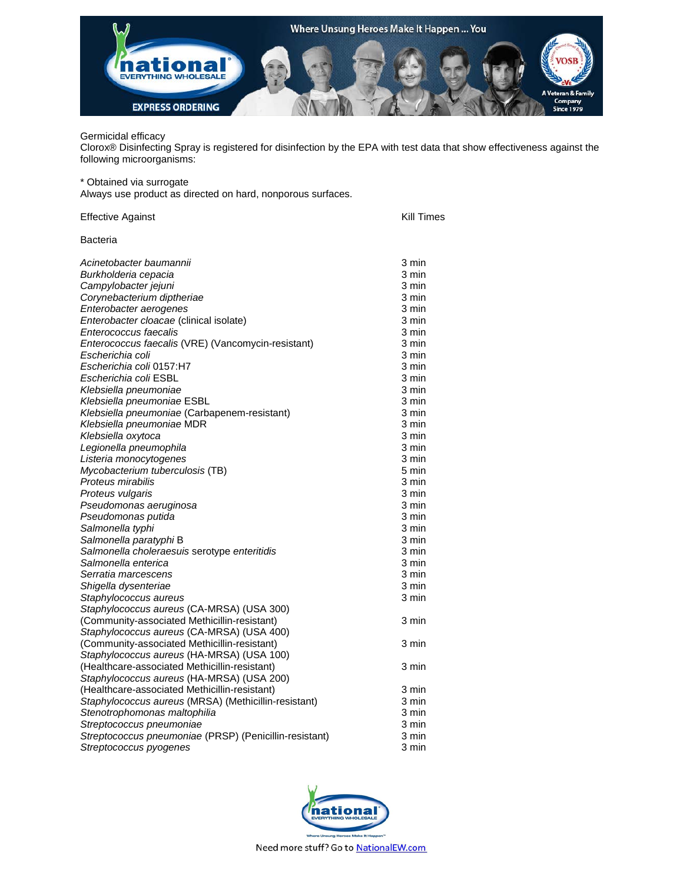

## Germicidal efficacy

Clorox® Disinfecting Spray is registered for disinfection by the EPA with test data that show effectiveness against the following microorganisms:

\* Obtained via surrogate

Always use product as directed on hard, nonporous surfaces.

| Effective Against                                      | Kill Times |
|--------------------------------------------------------|------------|
| Bacteria                                               |            |
| Acinetobacter baumannii                                | 3 min      |
| Burkholderia cepacia                                   | 3 min      |
| Campylobacter jejuni                                   | 3 min      |
| Corynebacterium diptheriae                             | 3 min      |
| Enterobacter aerogenes                                 | 3 min      |
| Enterobacter cloacae (clinical isolate)                | 3 min      |
| Enterococcus faecalis                                  | 3 min      |
| Enterococcus faecalis (VRE) (Vancomycin-resistant)     | 3 min      |
| Escherichia coli                                       | 3 min      |
| Escherichia coli 0157:H7                               | 3 min      |
| Escherichia coli ESBL                                  | 3 min      |
| Klebsiella pneumoniae                                  | 3 min      |
| Klebsiella pneumoniae ESBL                             | 3 min      |
| Klebsiella pneumoniae (Carbapenem-resistant)           | 3 min      |
| Klebsiella pneumoniae MDR                              | 3 min      |
| Klebsiella oxytoca                                     | 3 min      |
| Legionella pneumophila                                 | 3 min      |
| Listeria monocytogenes                                 | 3 min      |
| Mycobacterium tuberculosis (TB)                        | 5 min      |
| Proteus mirabilis                                      | 3 min      |
| Proteus vulgaris                                       | 3 min      |
| Pseudomonas aeruginosa                                 | 3 min      |
| Pseudomonas putida                                     | 3 min      |
| Salmonella typhi                                       | 3 min      |
| Salmonella paratyphi B                                 | 3 min      |
| Salmonella choleraesuis serotype enteritidis           | 3 min      |
| Salmonella enterica                                    | 3 min      |
| Serratia marcescens                                    | 3 min      |
| Shigella dysenteriae                                   | 3 min      |
| Staphylococcus aureus                                  | 3 min      |
| Staphylococcus aureus (CA-MRSA) (USA 300)              |            |
| (Community-associated Methicillin-resistant)           | 3 min      |
| Staphylococcus aureus (CA-MRSA) (USA 400)              |            |
| (Community-associated Methicillin-resistant)           | 3 min      |
| Staphylococcus aureus (HA-MRSA) (USA 100)              |            |
| (Healthcare-associated Methicillin-resistant)          | 3 min      |
| Staphylococcus aureus (HA-MRSA) (USA 200)              |            |
| (Healthcare-associated Methicillin-resistant)          | 3 min      |
| Staphylococcus aureus (MRSA) (Methicillin-resistant)   | 3 min      |
| Stenotrophomonas maltophilia                           | 3 min      |
| Streptococcus pneumoniae                               | 3 min      |
| Streptococcus pneumoniae (PRSP) (Penicillin-resistant) | 3 min      |
| Streptococcus pyogenes                                 | 3 min      |